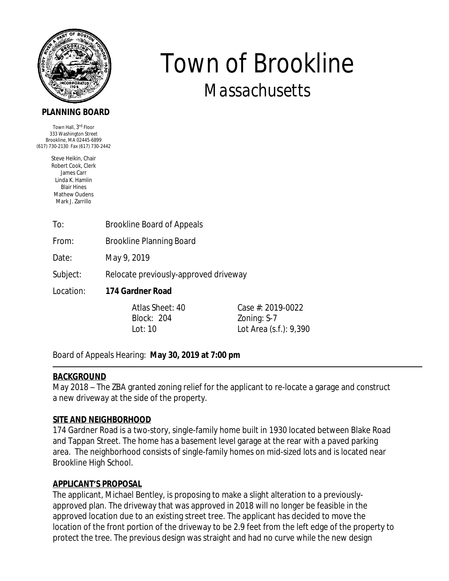

### **PLANNING BOARD**

Town Hall, 3<sup>rd</sup> Floor 333 Washington Street Brookline, MA 02445-6899 (617) 730-2130 Fax (617) 730-2442

> Steve Heikin, Chair Robert Cook, Clerk James Carr Linda K. Hamlin Blair Hines Mathew Oudens Mark J. Zarrillo

To: Brookline Board of Appeals

From: Brookline Planning Board

Date: May 9, 2019

Subject: Relocate previously-approved driveway

#### Location: **174 Gardner Road**

Block: 204 Zoning: S-7

Atlas Sheet: 40 Case #: 2019-0022 Lot: 10 Lot Area (s.f.): 9,390

*Town of Brookline*

*Massachusetts*

Board of Appeals Hearing: **May 30, 2019 at 7:00 pm**

#### **BACKGROUND**

May 2018 – The ZBA granted zoning relief for the applicant to re-locate a garage and construct a new driveway at the side of the property.

# **SITE AND NEIGHBORHOOD**

174 Gardner Road is a two-story, single-family home built in 1930 located between Blake Road and Tappan Street. The home has a basement level garage at the rear with a paved parking area. The neighborhood consists of single-family homes on mid-sized lots and is located near Brookline High School.

# **APPLICANT'S PROPOSAL**

The applicant, Michael Bentley, is proposing to make a slight alteration to a previouslyapproved plan. The driveway that was approved in 2018 will no longer be feasible in the approved location due to an existing street tree. The applicant has decided to move the location of the front portion of the driveway to be 2.9 feet from the left edge of the property to protect the tree. The previous design was straight and had no curve while the new design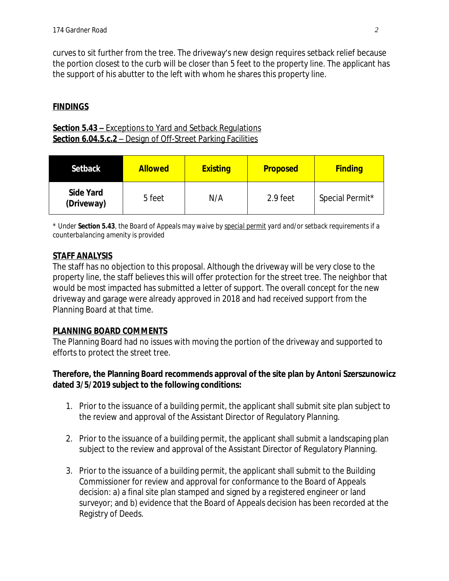curves to sit further from the tree. The driveway's new design requires setback relief because the portion closest to the curb will be closer than 5 feet to the property line. The applicant has the support of his abutter to the left with whom he shares this property line.

# **FINDINGS**

### **Section 5.43 –** Exceptions to Yard and Setback Regulations **Section 6.04.5.c.2** – Design of Off-Street Parking Facilities

| <b>Setback</b>          | <b>Allowed</b> | <b>Existing</b> | <b>Proposed</b> | <b>Finding</b>  |
|-------------------------|----------------|-----------------|-----------------|-----------------|
| Side Yard<br>(Driveway) | 5 feet         | N/A             | 2.9 feet        | Special Permit* |

*\* Under Section 5.43, the Board of Appeals may waive by special permit yard and/or setback requirements if a counterbalancing amenity is provided* 

# **STAFF ANALYSIS**

The staff has no objection to this proposal. Although the driveway will be very close to the property line, the staff believes this will offer protection for the street tree. The neighbor that would be most impacted has submitted a letter of support. The overall concept for the new driveway and garage were already approved in 2018 and had received support from the Planning Board at that time.

# **PLANNING BOARD COMMENTS**

The Planning Board had no issues with moving the portion of the driveway and supported to efforts to protect the street tree.

# **Therefore, the Planning Board recommends approval of the site plan by Antoni Szerszunowicz dated 3/5/2019 subject to the following conditions:**

- 1. Prior to the issuance of a building permit, the applicant shall submit site plan subject to the review and approval of the Assistant Director of Regulatory Planning.
- 2. Prior to the issuance of a building permit, the applicant shall submit a landscaping plan subject to the review and approval of the Assistant Director of Regulatory Planning.
- 3. Prior to the issuance of a building permit, the applicant shall submit to the Building Commissioner for review and approval for conformance to the Board of Appeals decision: a) a final site plan stamped and signed by a registered engineer or land surveyor; and b) evidence that the Board of Appeals decision has been recorded at the Registry of Deeds.